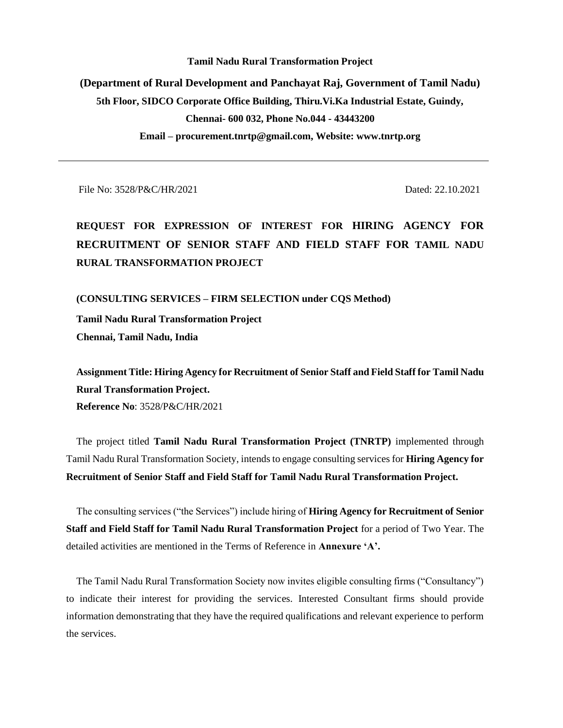# **Tamil Nadu Rural Transformation Project (Department of Rural Development and Panchayat Raj, Government of Tamil Nadu) 5th Floor, SIDCO Corporate Office Building, Thiru.Vi.Ka Industrial Estate, Guindy, Chennai- 600 032, Phone No.044 - 43443200 Email – procurement.tnrtp@gmail.com, Website: www.tnrtp.org**

File No: 3528/P&C/HR/2021 Dated: 22.10.2021

**REQUEST FOR EXPRESSION OF INTEREST FOR HIRING AGENCY FOR RECRUITMENT OF SENIOR STAFF AND FIELD STAFF FOR TAMIL NADU RURAL TRANSFORMATION PROJECT**

**(CONSULTING SERVICES – FIRM SELECTION under CQS Method)**

**Tamil Nadu Rural Transformation Project**

**Chennai, Tamil Nadu, India** 

**Assignment Title: Hiring Agency for Recruitment of Senior Staff and Field Staff for Tamil Nadu Rural Transformation Project. Reference No**: 3528/P&C/HR/2021

The project titled **Tamil Nadu Rural Transformation Project (TNRTP)** implemented through Tamil Nadu Rural Transformation Society, intends to engage consulting services for **Hiring Agency for Recruitment of Senior Staff and Field Staff for Tamil Nadu Rural Transformation Project.**

The consulting services ("the Services") include hiring of **Hiring Agency for Recruitment of Senior Staff and Field Staff for Tamil Nadu Rural Transformation Project** for a period of Two Year. The detailed activities are mentioned in the Terms of Reference in **Annexure 'A'.**

The Tamil Nadu Rural Transformation Society now invites eligible consulting firms ("Consultancy") to indicate their interest for providing the services. Interested Consultant firms should provide information demonstrating that they have the required qualifications and relevant experience to perform the services.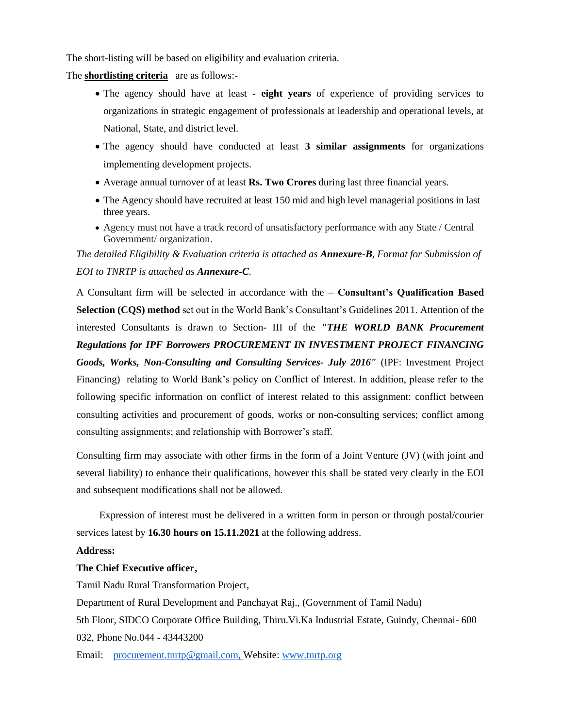The short-listing will be based on eligibility and evaluation criteria.

The **shortlisting criteria** are as follows:-

- The agency should have at least **- eight years** of experience of providing services to organizations in strategic engagement of professionals at leadership and operational levels, at National, State, and district level.
- The agency should have conducted at least **3 similar assignments** for organizations implementing development projects.
- Average annual turnover of at least **Rs. Two Crores** during last three financial years.
- The Agency should have recruited at least 150 mid and high level managerial positions in last three years.
- Agency must not have a track record of unsatisfactory performance with any State / Central Government/ organization.

*The detailed Eligibility & Evaluation criteria is attached as Annexure-B, Format for Submission of EOI to TNRTP is attached as Annexure-C.*

A Consultant firm will be selected in accordance with the – **Consultant's Qualification Based Selection (CQS) method** set out in the World Bank's Consultant's Guidelines 2011. Attention of the interested Consultants is drawn to Section- III of the *"THE WORLD BANK Procurement Regulations for IPF Borrowers PROCUREMENT IN INVESTMENT PROJECT FINANCING Goods, Works, Non-Consulting and Consulting Services- July 2016"* (IPF: Investment Project Financing) relating to World Bank's policy on Conflict of Interest. In addition, please refer to the following specific information on conflict of interest related to this assignment: conflict between consulting activities and procurement of goods, works or non-consulting services; conflict among consulting assignments; and relationship with Borrower's staff.

Consulting firm may associate with other firms in the form of a Joint Venture (JV) (with joint and several liability) to enhance their qualifications, however this shall be stated very clearly in the EOI and subsequent modifications shall not be allowed.

Expression of interest must be delivered in a written form in person or through postal/courier services latest by **16.30 hours on 15.11.2021** at the following address.

#### **Address:**

#### **The Chief Executive officer,**

Tamil Nadu Rural Transformation Project,

Department of Rural Development and Panchayat Raj., (Government of Tamil Nadu)

5th Floor, SIDCO Corporate Office Building, Thiru.Vi.Ka Industrial Estate, Guindy, Chennai- 600 032, Phone No.044 - 43443200

Email: [procurement.tnrtp@gmail.com,](mailto:procurement.tnrtp@gmail.com) Website[: www.tnrtp.org](http://www.tnrtp.org/)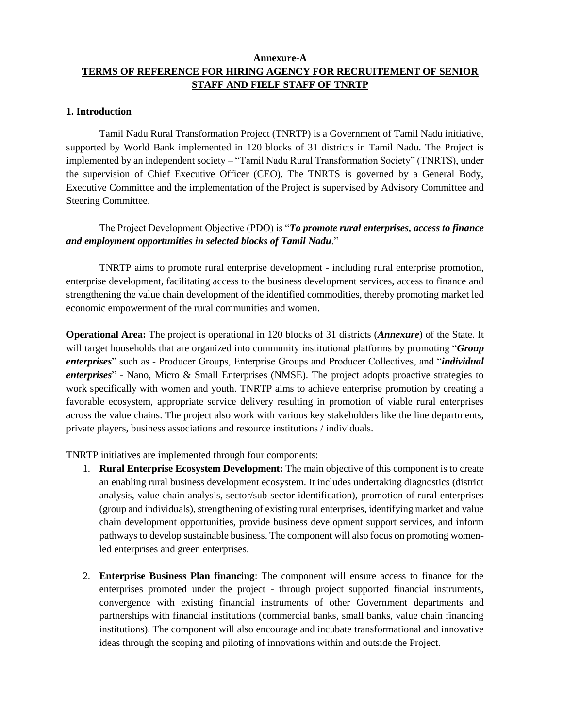# **Annexure-A TERMS OF REFERENCE FOR HIRING AGENCY FOR RECRUITEMENT OF SENIOR STAFF AND FIELF STAFF OF TNRTP**

#### **1. Introduction**

Tamil Nadu Rural Transformation Project (TNRTP) is a Government of Tamil Nadu initiative, supported by World Bank implemented in 120 blocks of 31 districts in Tamil Nadu. The Project is implemented by an independent society – "Tamil Nadu Rural Transformation Society" (TNRTS), under the supervision of Chief Executive Officer (CEO). The TNRTS is governed by a General Body, Executive Committee and the implementation of the Project is supervised by Advisory Committee and Steering Committee.

# The Project Development Objective (PDO) is "*To promote rural enterprises, access to finance and employment opportunities in selected blocks of Tamil Nadu*."

TNRTP aims to promote rural enterprise development - including rural enterprise promotion, enterprise development, facilitating access to the business development services, access to finance and strengthening the value chain development of the identified commodities, thereby promoting market led economic empowerment of the rural communities and women.

**Operational Area:** The project is operational in 120 blocks of 31 districts (*Annexure*) of the State. It will target households that are organized into community institutional platforms by promoting "*Group enterprises*" such as - Producer Groups, Enterprise Groups and Producer Collectives, and "*individual enterprises*" - Nano, Micro & Small Enterprises (NMSE). The project adopts proactive strategies to work specifically with women and youth. TNRTP aims to achieve enterprise promotion by creating a favorable ecosystem, appropriate service delivery resulting in promotion of viable rural enterprises across the value chains. The project also work with various key stakeholders like the line departments, private players, business associations and resource institutions / individuals.

TNRTP initiatives are implemented through four components:

- 1. **Rural Enterprise Ecosystem Development:** The main objective of this component is to create an enabling rural business development ecosystem. It includes undertaking diagnostics (district analysis, value chain analysis, sector/sub-sector identification), promotion of rural enterprises (group and individuals), strengthening of existing rural enterprises, identifying market and value chain development opportunities, provide business development support services, and inform pathways to develop sustainable business. The component will also focus on promoting womenled enterprises and green enterprises.
- 2. **Enterprise Business Plan financing**: The component will ensure access to finance for the enterprises promoted under the project - through project supported financial instruments, convergence with existing financial instruments of other Government departments and partnerships with financial institutions (commercial banks, small banks, value chain financing institutions). The component will also encourage and incubate transformational and innovative ideas through the scoping and piloting of innovations within and outside the Project.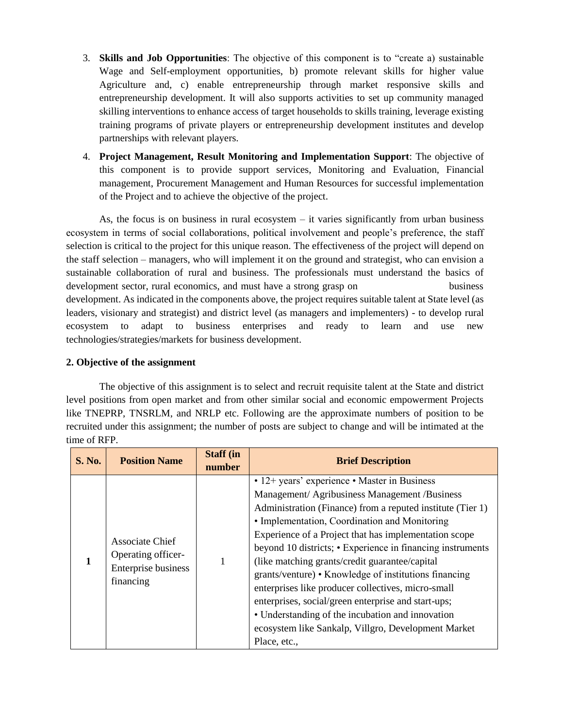- 3. **Skills and Job Opportunities**: The objective of this component is to "create a) sustainable Wage and Self-employment opportunities, b) promote relevant skills for higher value Agriculture and, c) enable entrepreneurship through market responsive skills and entrepreneurship development. It will also supports activities to set up community managed skilling interventions to enhance access of target households to skills training, leverage existing training programs of private players or entrepreneurship development institutes and develop partnerships with relevant players.
- 4. **Project Management, Result Monitoring and Implementation Support**: The objective of this component is to provide support services, Monitoring and Evaluation, Financial management, Procurement Management and Human Resources for successful implementation of the Project and to achieve the objective of the project.

As, the focus is on business in rural ecosystem  $-$  it varies significantly from urban business ecosystem in terms of social collaborations, political involvement and people's preference, the staff selection is critical to the project for this unique reason. The effectiveness of the project will depend on the staff selection – managers, who will implement it on the ground and strategist, who can envision a sustainable collaboration of rural and business. The professionals must understand the basics of development sector, rural economics, and must have a strong grasp on business development. As indicated in the components above, the project requires suitable talent at State level (as leaders, visionary and strategist) and district level (as managers and implementers) - to develop rural ecosystem to adapt to business enterprises and ready to learn and use new technologies/strategies/markets for business development.

# **2. Objective of the assignment**

The objective of this assignment is to select and recruit requisite talent at the State and district level positions from open market and from other similar social and economic empowerment Projects like TNEPRP, TNSRLM, and NRLP etc. Following are the approximate numbers of position to be recruited under this assignment; the number of posts are subject to change and will be intimated at the time of RFP.

| <b>S. No.</b> | <b>Position Name</b>                                                      | <b>Staff (in</b><br>number | <b>Brief Description</b>                                                                                                                                                                                                                                                                                                                                                                                                                                                                                                                                                                                                                                                                |
|---------------|---------------------------------------------------------------------------|----------------------------|-----------------------------------------------------------------------------------------------------------------------------------------------------------------------------------------------------------------------------------------------------------------------------------------------------------------------------------------------------------------------------------------------------------------------------------------------------------------------------------------------------------------------------------------------------------------------------------------------------------------------------------------------------------------------------------------|
|               | Associate Chief<br>Operating officer-<br>Enterprise business<br>financing |                            | • 12+ years' experience • Master in Business<br>Management/ Agribusiness Management /Business<br>Administration (Finance) from a reputed institute (Tier 1)<br>• Implementation, Coordination and Monitoring<br>Experience of a Project that has implementation scope<br>beyond 10 districts; • Experience in financing instruments<br>(like matching grants/credit guarantee/capital)<br>grants/venture) • Knowledge of institutions financing<br>enterprises like producer collectives, micro-small<br>enterprises, social/green enterprise and start-ups;<br>• Understanding of the incubation and innovation<br>ecosystem like Sankalp, Villgro, Development Market<br>Place, etc., |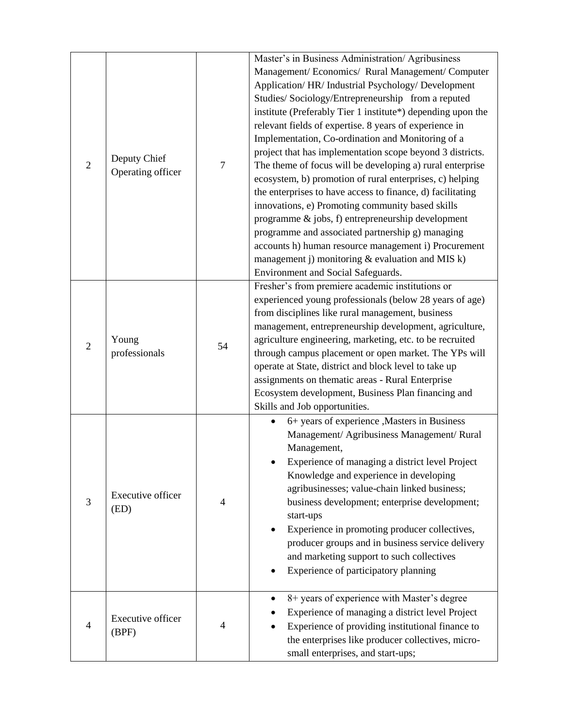| $\overline{2}$ | Deputy Chief<br>Operating officer | $\tau$         | Master's in Business Administration/ Agribusiness<br>Management/ Economics/ Rural Management/ Computer<br>Application/ HR/ Industrial Psychology/ Development<br>Studies/Sociology/Entrepreneurship from a reputed<br>institute (Preferably Tier 1 institute*) depending upon the<br>relevant fields of expertise. 8 years of experience in<br>Implementation, Co-ordination and Monitoring of a<br>project that has implementation scope beyond 3 districts.<br>The theme of focus will be developing a) rural enterprise<br>ecosystem, b) promotion of rural enterprises, c) helping<br>the enterprises to have access to finance, d) facilitating<br>innovations, e) Promoting community based skills<br>programme & jobs, f) entrepreneurship development<br>programme and associated partnership g) managing<br>accounts h) human resource management i) Procurement<br>management j) monitoring & evaluation and MIS k)<br>Environment and Social Safeguards. |
|----------------|-----------------------------------|----------------|---------------------------------------------------------------------------------------------------------------------------------------------------------------------------------------------------------------------------------------------------------------------------------------------------------------------------------------------------------------------------------------------------------------------------------------------------------------------------------------------------------------------------------------------------------------------------------------------------------------------------------------------------------------------------------------------------------------------------------------------------------------------------------------------------------------------------------------------------------------------------------------------------------------------------------------------------------------------|
| $\overline{2}$ | Young<br>professionals            | 54             | Fresher's from premiere academic institutions or<br>experienced young professionals (below 28 years of age)<br>from disciplines like rural management, business<br>management, entrepreneurship development, agriculture,<br>agriculture engineering, marketing, etc. to be recruited<br>through campus placement or open market. The YPs will<br>operate at State, district and block level to take up<br>assignments on thematic areas - Rural Enterprise<br>Ecosystem development, Business Plan financing and<br>Skills and Job opportunities.                                                                                                                                                                                                                                                                                                                                                                                                                  |
| 3              | Executive officer<br>(ED)         | $\overline{4}$ | 6+ years of experience , Masters in Business<br>Management/ Agribusiness Management/ Rural<br>Management,<br>Experience of managing a district level Project<br>Knowledge and experience in developing<br>agribusinesses; value-chain linked business;<br>business development; enterprise development;<br>start-ups<br>Experience in promoting producer collectives,<br>producer groups and in business service delivery<br>and marketing support to such collectives<br>Experience of participatory planning                                                                                                                                                                                                                                                                                                                                                                                                                                                      |
| 4              | Executive officer<br>(BPF)        | 4              | 8+ years of experience with Master's degree<br>Experience of managing a district level Project<br>Experience of providing institutional finance to<br>the enterprises like producer collectives, micro-<br>small enterprises, and start-ups;                                                                                                                                                                                                                                                                                                                                                                                                                                                                                                                                                                                                                                                                                                                        |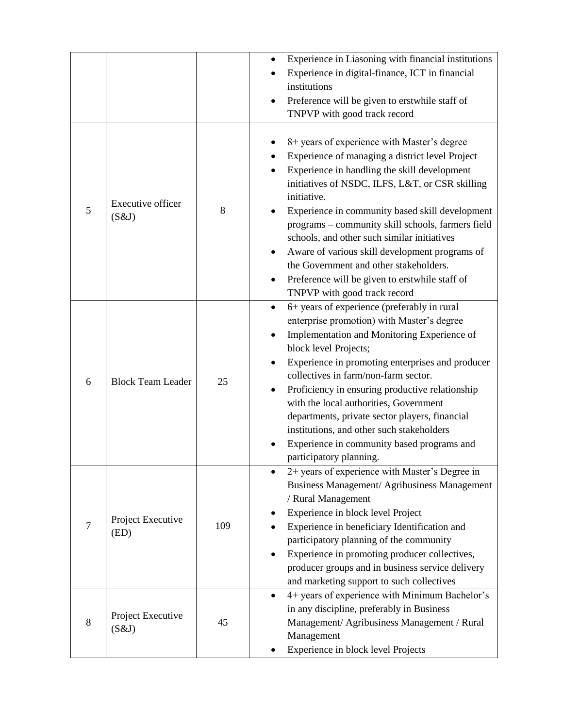|   |                            |     | Experience in Liasoning with financial institutions<br>Experience in digital-finance, ICT in financial<br>institutions<br>Preference will be given to erstwhile staff of<br>TNPVP with good track record                                                                                                                                                                                                                                                                                                                                              |
|---|----------------------------|-----|-------------------------------------------------------------------------------------------------------------------------------------------------------------------------------------------------------------------------------------------------------------------------------------------------------------------------------------------------------------------------------------------------------------------------------------------------------------------------------------------------------------------------------------------------------|
| 5 | Executive officer<br>(S&J) | 8   | 8+ years of experience with Master's degree<br>Experience of managing a district level Project<br>Experience in handling the skill development<br>initiatives of NSDC, ILFS, L&T, or CSR skilling<br>initiative.<br>Experience in community based skill development<br>programs - community skill schools, farmers field<br>schools, and other such similar initiatives<br>Aware of various skill development programs of<br>the Government and other stakeholders.<br>Preference will be given to erstwhile staff of<br>TNPVP with good track record |
| 6 | <b>Block Team Leader</b>   | 25  | 6+ years of experience (preferably in rural<br>$\bullet$<br>enterprise promotion) with Master's degree<br>Implementation and Monitoring Experience of<br>block level Projects;<br>Experience in promoting enterprises and producer<br>collectives in farm/non-farm sector.<br>Proficiency in ensuring productive relationship<br>with the local authorities, Government<br>departments, private sector players, financial<br>institutions, and other such stakeholders<br>Experience in community based programs and<br>participatory planning.       |
| 7 | Project Executive<br>(ED)  | 109 | 2+ years of experience with Master's Degree in<br>Business Management/ Agribusiness Management<br>/ Rural Management<br>Experience in block level Project<br>Experience in beneficiary Identification and<br>participatory planning of the community<br>Experience in promoting producer collectives,<br>producer groups and in business service delivery<br>and marketing support to such collectives                                                                                                                                                |
| 8 | Project Executive<br>(S&J) | 45  | 4+ years of experience with Minimum Bachelor's<br>in any discipline, preferably in Business<br>Management/ Agribusiness Management / Rural<br>Management<br>Experience in block level Projects                                                                                                                                                                                                                                                                                                                                                        |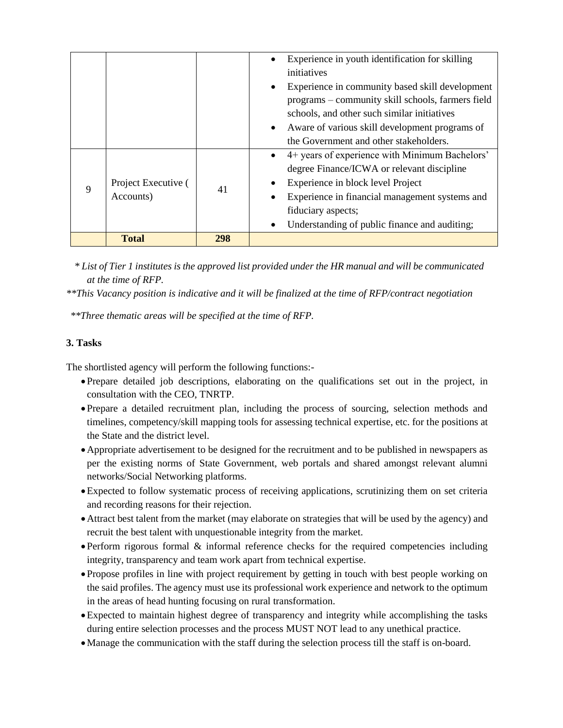|              |                                  |     |           | Experience in youth identification for skilling<br>initiatives                                                                                                                                          |
|--------------|----------------------------------|-----|-----------|---------------------------------------------------------------------------------------------------------------------------------------------------------------------------------------------------------|
|              |                                  |     | $\bullet$ | Experience in community based skill development<br>programs – community skill schools, farmers field<br>schools, and other such similar initiatives<br>• Aware of various skill development programs of |
|              |                                  |     |           | the Government and other stakeholders.                                                                                                                                                                  |
|              |                                  |     | $\bullet$ | 4+ years of experience with Minimum Bachelors'                                                                                                                                                          |
|              | Project Executive (<br>Accounts) | 41  |           | degree Finance/ICWA or relevant discipline                                                                                                                                                              |
| $\mathbf{Q}$ |                                  |     | $\bullet$ | Experience in block level Project                                                                                                                                                                       |
|              |                                  |     | ٠         | Experience in financial management systems and                                                                                                                                                          |
|              |                                  |     |           | fiduciary aspects;                                                                                                                                                                                      |
|              |                                  |     | ٠         | Understanding of public finance and auditing;                                                                                                                                                           |
|              | <b>Total</b>                     | 298 |           |                                                                                                                                                                                                         |

*\* List of Tier 1 institutes is the approved list provided under the HR manual and will be communicated at the time of RFP.*

*\*\*This Vacancy position is indicative and it will be finalized at the time of RFP/contract negotiation*

*\*\*Three thematic areas will be specified at the time of RFP.*

# **3. Tasks**

The shortlisted agency will perform the following functions:-

- Prepare detailed job descriptions, elaborating on the qualifications set out in the project, in consultation with the CEO, TNRTP.
- Prepare a detailed recruitment plan, including the process of sourcing, selection methods and timelines, competency/skill mapping tools for assessing technical expertise, etc. for the positions at the State and the district level.
- Appropriate advertisement to be designed for the recruitment and to be published in newspapers as per the existing norms of State Government, web portals and shared amongst relevant alumni networks/Social Networking platforms.
- Expected to follow systematic process of receiving applications, scrutinizing them on set criteria and recording reasons for their rejection.
- Attract best talent from the market (may elaborate on strategies that will be used by the agency) and recruit the best talent with unquestionable integrity from the market.
- Perform rigorous formal & informal reference checks for the required competencies including integrity, transparency and team work apart from technical expertise.
- Propose profiles in line with project requirement by getting in touch with best people working on the said profiles. The agency must use its professional work experience and network to the optimum in the areas of head hunting focusing on rural transformation.
- Expected to maintain highest degree of transparency and integrity while accomplishing the tasks during entire selection processes and the process MUST NOT lead to any unethical practice.
- Manage the communication with the staff during the selection process till the staff is on-board.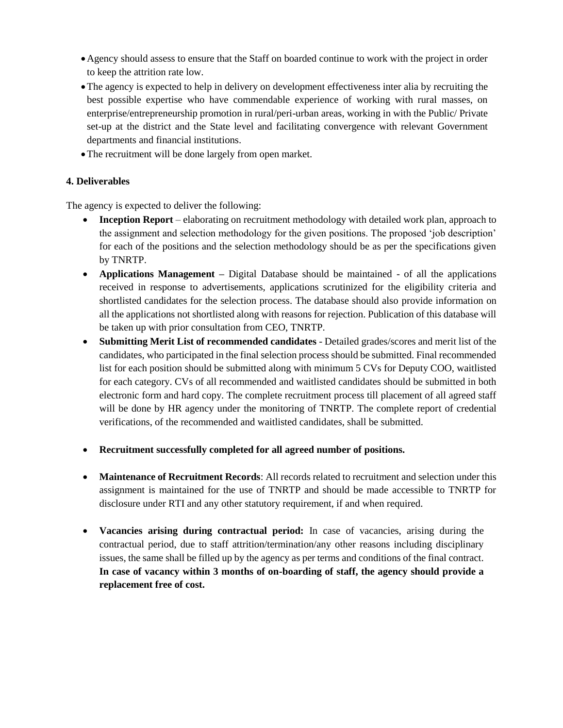- Agency should assess to ensure that the Staff on boarded continue to work with the project in order to keep the attrition rate low.
- The agency is expected to help in delivery on development effectiveness inter alia by recruiting the best possible expertise who have commendable experience of working with rural masses, on enterprise/entrepreneurship promotion in rural/peri-urban areas, working in with the Public/ Private set-up at the district and the State level and facilitating convergence with relevant Government departments and financial institutions.
- The recruitment will be done largely from open market.

# **4. Deliverables**

The agency is expected to deliver the following:

- **Inception Report** elaborating on recruitment methodology with detailed work plan, approach to the assignment and selection methodology for the given positions. The proposed 'job description' for each of the positions and the selection methodology should be as per the specifications given by TNRTP.
- **Applications Management** Digital Database should be maintained of all the applications received in response to advertisements, applications scrutinized for the eligibility criteria and shortlisted candidates for the selection process. The database should also provide information on all the applications not shortlisted along with reasons for rejection. Publication of this database will be taken up with prior consultation from CEO, TNRTP.
- **Submitting Merit List of recommended candidates** Detailed grades/scores and merit list of the candidates, who participated in the final selection process should be submitted. Final recommended list for each position should be submitted along with minimum 5 CVs for Deputy COO, waitlisted for each category. CVs of all recommended and waitlisted candidates should be submitted in both electronic form and hard copy. The complete recruitment process till placement of all agreed staff will be done by HR agency under the monitoring of TNRTP. The complete report of credential verifications, of the recommended and waitlisted candidates, shall be submitted.
- **Recruitment successfully completed for all agreed number of positions.**
- **Maintenance of Recruitment Records**: All records related to recruitment and selection under this assignment is maintained for the use of TNRTP and should be made accessible to TNRTP for disclosure under RTI and any other statutory requirement, if and when required.
- **Vacancies arising during contractual period:** In case of vacancies, arising during the contractual period, due to staff attrition/termination/any other reasons including disciplinary issues, the same shall be filled up by the agency as per terms and conditions of the final contract. **In case of vacancy within 3 months of on-boarding of staff, the agency should provide a replacement free of cost.**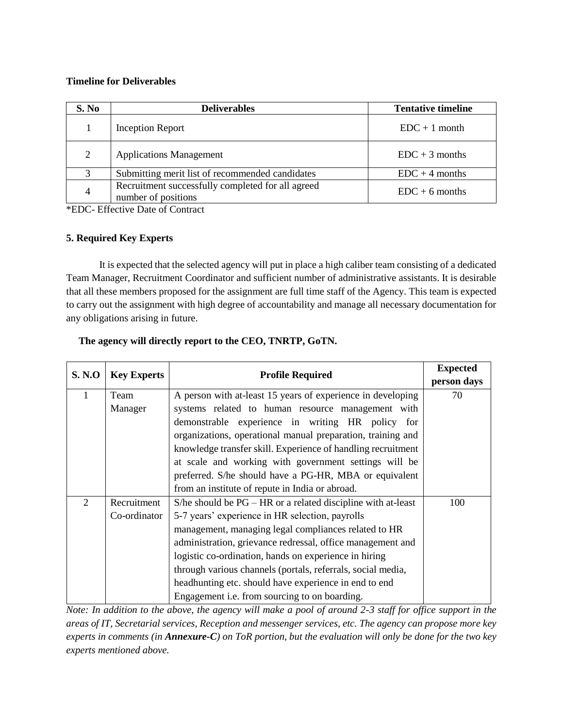#### **Timeline for Deliverables**

| S. No | <b>Deliverables</b>                                                      | <b>Tentative timeline</b> |
|-------|--------------------------------------------------------------------------|---------------------------|
|       | Inception Report                                                         | $EDC + 1$ month           |
| 2     | <b>Applications Management</b>                                           | $EDC + 3$ months          |
|       | Submitting merit list of recommended candidates                          | $EDC + 4 months$          |
| 4     | Recruitment successfully completed for all agreed<br>number of positions | $EDC + 6$ months          |

\*EDC- Effective Date of Contract

# **5. Required Key Experts**

It is expected that the selected agency will put in place a high caliber team consisting of a dedicated Team Manager, Recruitment Coordinator and sufficient number of administrative assistants. It is desirable that all these members proposed for the assignment are full time staff of the Agency. This team is expected to carry out the assignment with high degree of accountability and manage all necessary documentation for any obligations arising in future.

| <b>S. N.O</b> | <b>Key Experts</b> | <b>Profile Required</b>                                        | <b>Expected</b> |
|---------------|--------------------|----------------------------------------------------------------|-----------------|
|               |                    |                                                                | person days     |
| 1             | Team               | A person with at-least 15 years of experience in developing    | 70              |
|               | Manager            | systems related to human resource management with              |                 |
|               |                    | demonstrable experience in writing HR policy for               |                 |
|               |                    | organizations, operational manual preparation, training and    |                 |
|               |                    | knowledge transfer skill. Experience of handling recruitment   |                 |
|               |                    | at scale and working with government settings will be          |                 |
|               |                    | preferred. S/he should have a PG-HR, MBA or equivalent         |                 |
|               |                    | from an institute of repute in India or abroad.                |                 |
| 2             | Recruitment        | S/he should be $PG - HR$ or a related discipline with at-least | 100             |
|               | Co-ordinator       | 5-7 years' experience in HR selection, payrolls                |                 |
|               |                    | management, managing legal compliances related to HR           |                 |
|               |                    | administration, grievance redressal, office management and     |                 |
|               |                    | logistic co-ordination, hands on experience in hiring          |                 |
|               |                    | through various channels (portals, referrals, social media,    |                 |
|               |                    | headhunting etc. should have experience in end to end          |                 |
|               |                    | Engagement <i>i.e.</i> from sourcing to on boarding.           |                 |

# **The agency will directly report to the CEO, TNRTP, GoTN.**

*Note: In addition to the above, the agency will make a pool of around 2-3 staff for office support in the areas of IT, Secretarial services, Reception and messenger services, etc. The agency can propose more key experts in comments (in Annexure-C) on ToR portion, but the evaluation will only be done for the two key experts mentioned above.*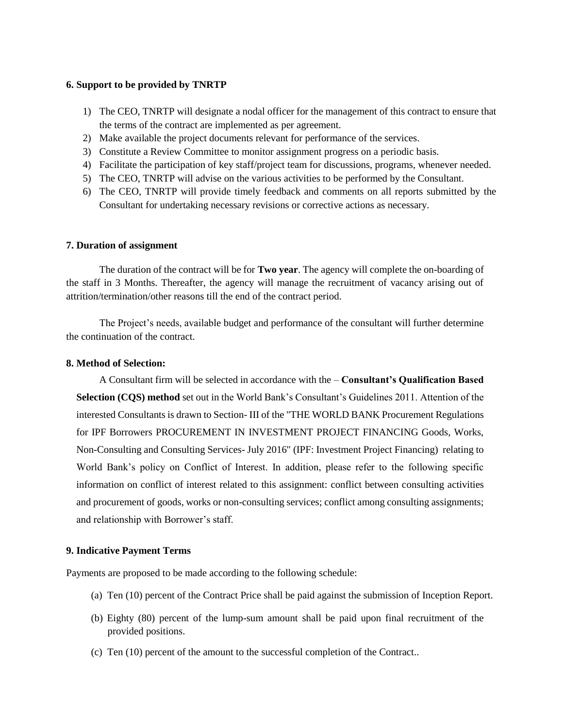#### **6. Support to be provided by TNRTP**

- 1) The CEO, TNRTP will designate a nodal officer for the management of this contract to ensure that the terms of the contract are implemented as per agreement.
- 2) Make available the project documents relevant for performance of the services.
- 3) Constitute a Review Committee to monitor assignment progress on a periodic basis.
- 4) Facilitate the participation of key staff/project team for discussions, programs, whenever needed.
- 5) The CEO, TNRTP will advise on the various activities to be performed by the Consultant.
- 6) The CEO, TNRTP will provide timely feedback and comments on all reports submitted by the Consultant for undertaking necessary revisions or corrective actions as necessary.

#### **7. Duration of assignment**

The duration of the contract will be for **Two year**. The agency will complete the on-boarding of the staff in 3 Months. Thereafter, the agency will manage the recruitment of vacancy arising out of attrition/termination/other reasons till the end of the contract period.

The Project's needs, available budget and performance of the consultant will further determine the continuation of the contract.

#### **8. Method of Selection:**

A Consultant firm will be selected in accordance with the – **Consultant's Qualification Based Selection (CQS) method** set out in the World Bank's Consultant's Guidelines 2011. Attention of the interested Consultants is drawn to Section- III of the "THE WORLD BANK Procurement Regulations for IPF Borrowers PROCUREMENT IN INVESTMENT PROJECT FINANCING Goods, Works, Non-Consulting and Consulting Services- July 2016" (IPF: Investment Project Financing) relating to World Bank's policy on Conflict of Interest. In addition, please refer to the following specific information on conflict of interest related to this assignment: conflict between consulting activities and procurement of goods, works or non-consulting services; conflict among consulting assignments; and relationship with Borrower's staff.

#### **9. Indicative Payment Terms**

Payments are proposed to be made according to the following schedule:

- (a) Ten (10) percent of the Contract Price shall be paid against the submission of Inception Report.
- (b) Eighty (80) percent of the lump-sum amount shall be paid upon final recruitment of the provided positions.
- (c) Ten (10) percent of the amount to the successful completion of the Contract..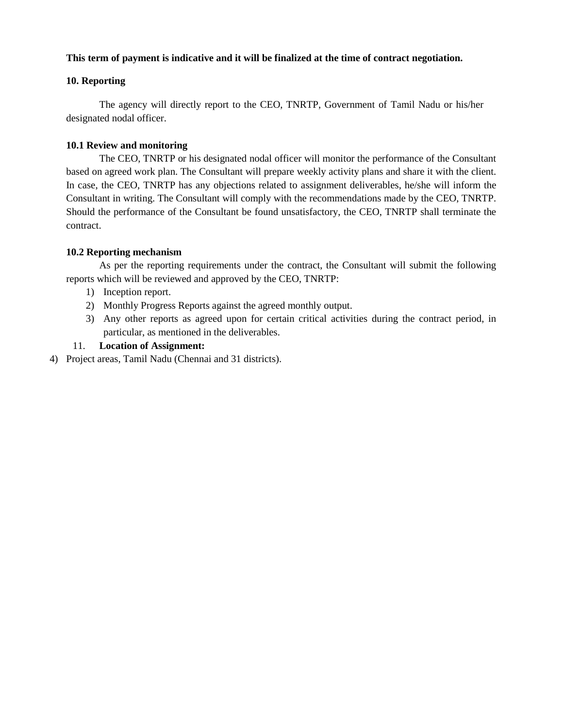# **This term of payment is indicative and it will be finalized at the time of contract negotiation.**

# **10. Reporting**

The agency will directly report to the CEO, TNRTP, Government of Tamil Nadu or his/her designated nodal officer.

#### **10.1 Review and monitoring**

The CEO, TNRTP or his designated nodal officer will monitor the performance of the Consultant based on agreed work plan. The Consultant will prepare weekly activity plans and share it with the client. In case, the CEO, TNRTP has any objections related to assignment deliverables, he/she will inform the Consultant in writing. The Consultant will comply with the recommendations made by the CEO, TNRTP. Should the performance of the Consultant be found unsatisfactory, the CEO, TNRTP shall terminate the contract.

# **10.2 Reporting mechanism**

As per the reporting requirements under the contract, the Consultant will submit the following reports which will be reviewed and approved by the CEO, TNRTP:

- 1) Inception report.
- 2) Monthly Progress Reports against the agreed monthly output.
- 3) Any other reports as agreed upon for certain critical activities during the contract period, in particular, as mentioned in the deliverables.

# 11. **Location of Assignment:**

4) Project areas, Tamil Nadu (Chennai and 31 districts).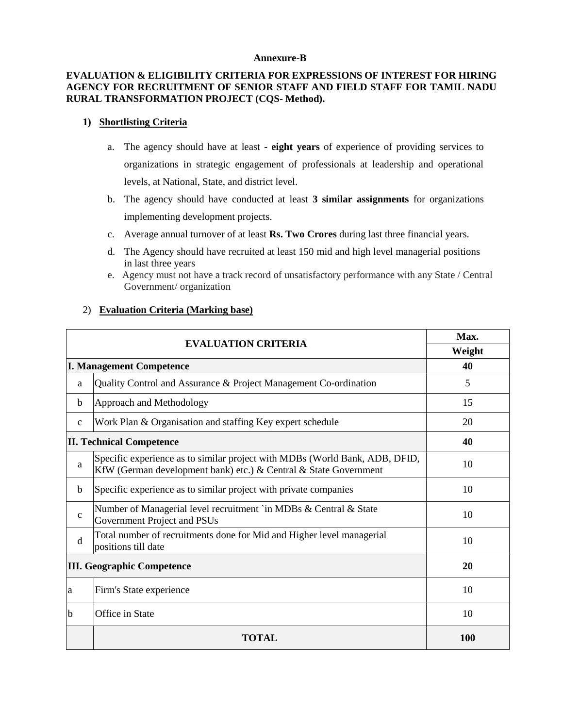#### **Annexure-B**

# **EVALUATION & ELIGIBILITY CRITERIA FOR EXPRESSIONS OF INTEREST FOR HIRING AGENCY FOR RECRUITMENT OF SENIOR STAFF AND FIELD STAFF FOR TAMIL NADU RURAL TRANSFORMATION PROJECT (CQS- Method).**

#### **1) Shortlisting Criteria**

- a. The agency should have at least **- eight years** of experience of providing services to organizations in strategic engagement of professionals at leadership and operational levels, at National, State, and district level.
- b. The agency should have conducted at least **3 similar assignments** for organizations implementing development projects.
- c. Average annual turnover of at least **Rs. Two Crores** during last three financial years.
- d. The Agency should have recruited at least 150 mid and high level managerial positions in last three years
- e. Agency must not have a track record of unsatisfactory performance with any State / Central Government/ organization

# 2) **Evaluation Criteria (Marking base)**

|              | Max.                                                                                                                                            |            |  |  |  |
|--------------|-------------------------------------------------------------------------------------------------------------------------------------------------|------------|--|--|--|
|              | <b>EVALUATION CRITERIA</b>                                                                                                                      |            |  |  |  |
|              | <b>I. Management Competence</b>                                                                                                                 |            |  |  |  |
| a            | Quality Control and Assurance & Project Management Co-ordination                                                                                | 5          |  |  |  |
| $\mathbf b$  | Approach and Methodology                                                                                                                        | 15         |  |  |  |
| $\mathbf C$  | Work Plan & Organisation and staffing Key expert schedule                                                                                       | 20         |  |  |  |
|              | <b>II. Technical Competence</b>                                                                                                                 | 40         |  |  |  |
| a            | Specific experience as to similar project with MDBs (World Bank, ADB, DFID,<br>KfW (German development bank) etc.) & Central & State Government | 10         |  |  |  |
| b            | Specific experience as to similar project with private companies                                                                                | 10         |  |  |  |
| $\mathbf{C}$ | Number of Managerial level recruitment `in MDBs & Central & State<br>Government Project and PSUs                                                | 10         |  |  |  |
| d            | Total number of recruitments done for Mid and Higher level managerial<br>positions till date                                                    | 10         |  |  |  |
|              | <b>III. Geographic Competence</b>                                                                                                               | 20         |  |  |  |
| la           | Firm's State experience                                                                                                                         | 10         |  |  |  |
| lb           | Office in State                                                                                                                                 | 10         |  |  |  |
|              | TOTAL                                                                                                                                           | <b>100</b> |  |  |  |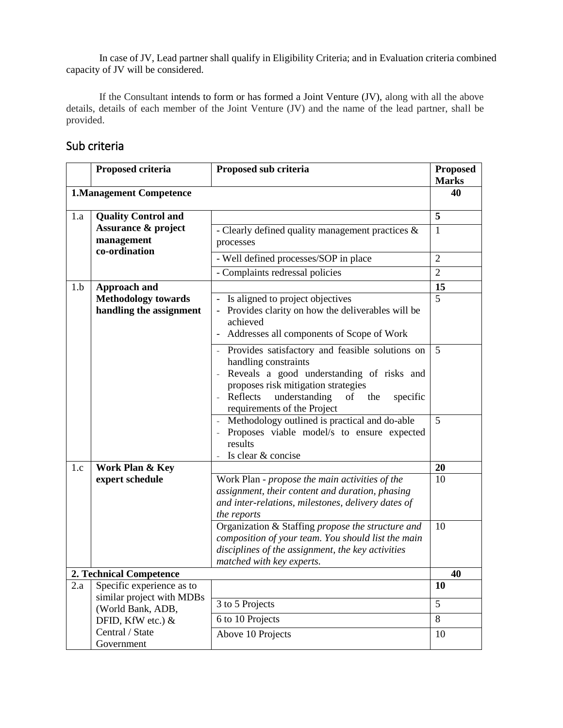In case of JV, Lead partner shall qualify in Eligibility Criteria; and in Evaluation criteria combined capacity of JV will be considered.

If the Consultant intends to form or has formed a Joint Venture (JV), along with all the above details, details of each member of the Joint Venture (JV) and the name of the lead partner, shall be provided.

# Sub criteria

|     | Proposed criteria<br>Proposed sub criteria                                   |                                                                                                                                                                                                                                                  | <b>Proposed</b><br><b>Marks</b> |
|-----|------------------------------------------------------------------------------|--------------------------------------------------------------------------------------------------------------------------------------------------------------------------------------------------------------------------------------------------|---------------------------------|
|     | <b>1.Management Competence</b>                                               |                                                                                                                                                                                                                                                  | 40                              |
| 1.a | <b>Quality Control and</b><br><b>Assurance &amp; project</b><br>management   | - Clearly defined quality management practices $\&$                                                                                                                                                                                              | 5<br>$\mathbf{1}$               |
|     | co-ordination                                                                | processes<br>- Well defined processes/SOP in place                                                                                                                                                                                               | $\overline{2}$                  |
|     |                                                                              | - Complaints redressal policies                                                                                                                                                                                                                  | $\overline{2}$                  |
| 1.b | <b>Approach and</b><br><b>Methodology towards</b><br>handling the assignment | Is aligned to project objectives<br>Provides clarity on how the deliverables will be<br>achieved<br>Addresses all components of Scope of Work                                                                                                    | 15<br>5                         |
|     |                                                                              | Provides satisfactory and feasible solutions on<br>handling constraints<br>Reveals a good understanding of risks and<br>proposes risk mitigation strategies<br>Reflects<br>understanding<br>of<br>the<br>specific<br>requirements of the Project | 5                               |
|     |                                                                              | Methodology outlined is practical and do-able<br>Proposes viable model/s to ensure expected<br>results<br>Is clear & concise                                                                                                                     | 5                               |
| 1.c | Work Plan & Key                                                              |                                                                                                                                                                                                                                                  | 20                              |
|     | expert schedule                                                              | Work Plan - propose the main activities of the<br>assignment, their content and duration, phasing<br>and inter-relations, milestones, delivery dates of<br>the reports                                                                           | 10                              |
|     |                                                                              | Organization & Staffing propose the structure and<br>composition of your team. You should list the main<br>disciplines of the assignment, the key activities<br>matched with key experts.                                                        | 10                              |
|     | 2. Technical Competence                                                      |                                                                                                                                                                                                                                                  | 40                              |
| 2.a | Specific experience as to                                                    |                                                                                                                                                                                                                                                  | <b>10</b>                       |
|     | similar project with MDBs<br>(World Bank, ADB,                               | 3 to 5 Projects                                                                                                                                                                                                                                  | 5                               |
|     | DFID, KfW etc.) &                                                            | 6 to 10 Projects                                                                                                                                                                                                                                 | $8\,$                           |
|     | Central / State<br>Government                                                | Above 10 Projects                                                                                                                                                                                                                                | 10                              |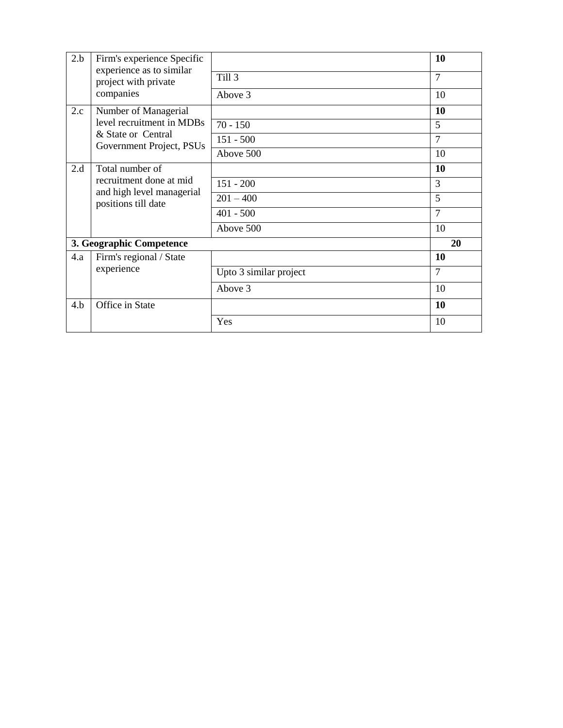| 2.b | Firm's experience Specific                       |                        | 10             |
|-----|--------------------------------------------------|------------------------|----------------|
|     | experience as to similar<br>project with private | Till 3                 | $\overline{7}$ |
|     | companies                                        | Above 3                | 10             |
| 2.c | Number of Managerial                             |                        | 10             |
|     | level recruitment in MDBs                        | $70 - 150$             | 5              |
|     | & State or Central<br>Government Project, PSUs   | $151 - 500$            | 7              |
|     |                                                  | Above 500              | 10             |
| 2.d | Total number of                                  |                        | 10             |
|     | recruitment done at mid                          | $151 - 200$            | 3              |
|     | and high level managerial<br>positions till date | $201 - 400$            | 5              |
|     |                                                  | $401 - 500$            | 7              |
|     |                                                  | Above 500              | 10             |
|     | 3. Geographic Competence                         |                        | 20             |
| 4.a | Firm's regional / State                          |                        | 10             |
|     | experience                                       | Upto 3 similar project | 7              |
|     |                                                  | Above 3                | 10             |
| 4.b | Office in State                                  |                        | 10             |
|     |                                                  | Yes                    | 10             |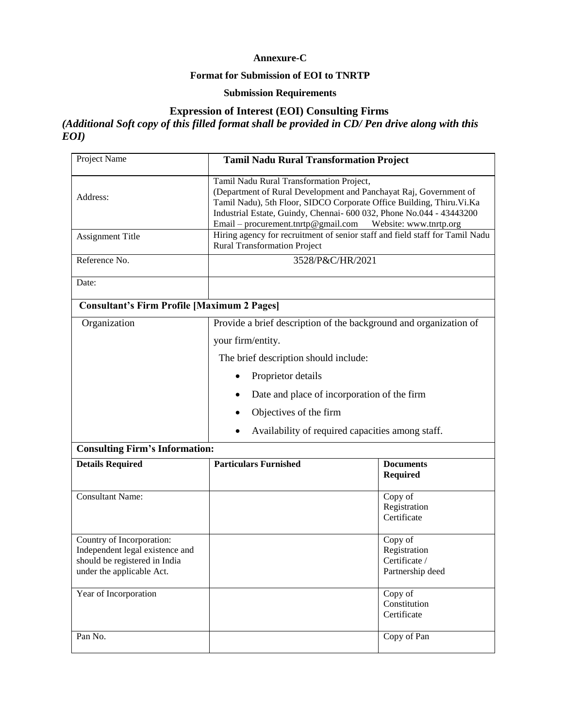# **Annexure-C**

# **Format for Submission of EOI to TNRTP**

# **Submission Requirements**

# **Expression of Interest (EOI) Consulting Firms**

*(Additional Soft copy of this filled format shall be provided in CD/ Pen drive along with this EOI)*

| Project Name                                                                                                               | <b>Tamil Nadu Rural Transformation Project</b>                                                                                                                                                                                                                |                                        |  |  |
|----------------------------------------------------------------------------------------------------------------------------|---------------------------------------------------------------------------------------------------------------------------------------------------------------------------------------------------------------------------------------------------------------|----------------------------------------|--|--|
| Address:                                                                                                                   | Tamil Nadu Rural Transformation Project,<br>(Department of Rural Development and Panchayat Raj, Government of<br>Tamil Nadu), 5th Floor, SIDCO Corporate Office Building, Thiru.Vi.Ka<br>Industrial Estate, Guindy, Chennai- 600 032, Phone No.044 - 43443200 |                                        |  |  |
| <b>Assignment Title</b>                                                                                                    | Hiring agency for recruitment of senior staff and field staff for Tamil Nadu<br><b>Rural Transformation Project</b>                                                                                                                                           |                                        |  |  |
| Reference No.                                                                                                              | 3528/P&C/HR/2021                                                                                                                                                                                                                                              |                                        |  |  |
| Date:                                                                                                                      |                                                                                                                                                                                                                                                               |                                        |  |  |
| <b>Consultant's Firm Profile [Maximum 2 Pages]</b>                                                                         |                                                                                                                                                                                                                                                               |                                        |  |  |
| Organization                                                                                                               | Provide a brief description of the background and organization of                                                                                                                                                                                             |                                        |  |  |
|                                                                                                                            | your firm/entity.                                                                                                                                                                                                                                             |                                        |  |  |
|                                                                                                                            | The brief description should include:                                                                                                                                                                                                                         |                                        |  |  |
|                                                                                                                            | Proprietor details                                                                                                                                                                                                                                            |                                        |  |  |
|                                                                                                                            | Date and place of incorporation of the firm                                                                                                                                                                                                                   |                                        |  |  |
|                                                                                                                            | Objectives of the firm                                                                                                                                                                                                                                        |                                        |  |  |
|                                                                                                                            | Availability of required capacities among staff.                                                                                                                                                                                                              |                                        |  |  |
| <b>Consulting Firm's Information:</b>                                                                                      |                                                                                                                                                                                                                                                               |                                        |  |  |
| <b>Details Required</b>                                                                                                    | <b>Particulars Furnished</b>                                                                                                                                                                                                                                  | <b>Documents</b><br><b>Required</b>    |  |  |
| <b>Consultant Name:</b>                                                                                                    |                                                                                                                                                                                                                                                               | Copy of<br>Registration<br>Certificate |  |  |
| Country of Incorporation:<br>Independent legal existence and<br>should be registered in India<br>under the applicable Act. | Copy of<br>Registration<br>Certificate /<br>Partnership deed                                                                                                                                                                                                  |                                        |  |  |
| Year of Incorporation                                                                                                      | Copy of<br>Constitution<br>Certificate                                                                                                                                                                                                                        |                                        |  |  |
| Pan No.                                                                                                                    |                                                                                                                                                                                                                                                               | Copy of Pan                            |  |  |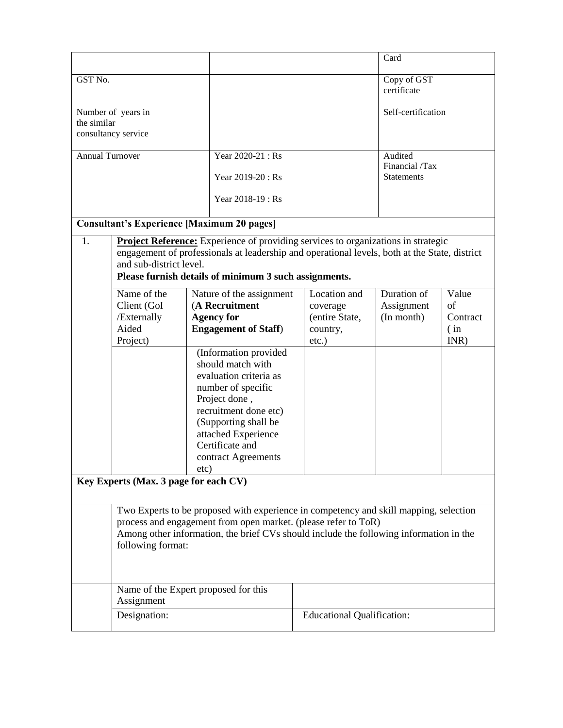|                 |                                                                                                                                                          |                                                                                               |                                   | Card                       |                  |
|-----------------|----------------------------------------------------------------------------------------------------------------------------------------------------------|-----------------------------------------------------------------------------------------------|-----------------------------------|----------------------------|------------------|
| GST No.         |                                                                                                                                                          |                                                                                               |                                   | Copy of GST<br>certificate |                  |
| the similar     | Number of years in                                                                                                                                       |                                                                                               |                                   | Self-certification         |                  |
|                 | consultancy service                                                                                                                                      |                                                                                               |                                   |                            |                  |
|                 |                                                                                                                                                          |                                                                                               |                                   |                            |                  |
| Annual Turnover |                                                                                                                                                          | Year 2020-21: Rs                                                                              |                                   | Audited<br>Financial /Tax  |                  |
|                 |                                                                                                                                                          | Year 2019-20 : Rs                                                                             |                                   | <b>Statements</b>          |                  |
|                 |                                                                                                                                                          | Year 2018-19 : Rs                                                                             |                                   |                            |                  |
|                 |                                                                                                                                                          | <b>Consultant's Experience [Maximum 20 pages]</b>                                             |                                   |                            |                  |
| 1.              |                                                                                                                                                          | <b>Project Reference:</b> Experience of providing services to organizations in strategic      |                                   |                            |                  |
|                 | and sub-district level.                                                                                                                                  | engagement of professionals at leadership and operational levels, both at the State, district |                                   |                            |                  |
|                 |                                                                                                                                                          | Please furnish details of minimum 3 such assignments.                                         |                                   |                            |                  |
|                 | Name of the                                                                                                                                              | Nature of the assignment                                                                      | Location and                      | Duration of                | Value            |
|                 | Client (GoI                                                                                                                                              | (A Recruitment                                                                                | coverage                          | Assignment                 | of               |
|                 | /Externally<br>Aided                                                                                                                                     | <b>Agency for</b><br><b>Engagement of Staff)</b>                                              | (entire State,                    | (In month)                 | Contract<br>(in) |
|                 | Project)                                                                                                                                                 |                                                                                               | country,<br>etc.)                 |                            | INR)             |
|                 |                                                                                                                                                          | (Information provided                                                                         |                                   |                            |                  |
|                 |                                                                                                                                                          | should match with                                                                             |                                   |                            |                  |
|                 |                                                                                                                                                          | evaluation criteria as                                                                        | number of specific                |                            |                  |
|                 |                                                                                                                                                          | Project done,                                                                                 |                                   |                            |                  |
|                 |                                                                                                                                                          | recruitment done etc)                                                                         |                                   |                            |                  |
|                 |                                                                                                                                                          | (Supporting shall be                                                                          |                                   |                            |                  |
|                 |                                                                                                                                                          | attached Experience                                                                           |                                   |                            |                  |
|                 |                                                                                                                                                          | Certificate and                                                                               |                                   |                            |                  |
|                 |                                                                                                                                                          | contract Agreements<br>etc)                                                                   |                                   |                            |                  |
|                 | Key Experts (Max. 3 page for each CV)                                                                                                                    |                                                                                               |                                   |                            |                  |
|                 |                                                                                                                                                          |                                                                                               |                                   |                            |                  |
|                 |                                                                                                                                                          | Two Experts to be proposed with experience in competency and skill mapping, selection         |                                   |                            |                  |
|                 | process and engagement from open market. (please refer to ToR)<br>Among other information, the brief CVs should include the following information in the |                                                                                               |                                   |                            |                  |
|                 | following format:                                                                                                                                        |                                                                                               |                                   |                            |                  |
|                 |                                                                                                                                                          |                                                                                               |                                   |                            |                  |
|                 |                                                                                                                                                          |                                                                                               |                                   |                            |                  |
|                 |                                                                                                                                                          | Name of the Expert proposed for this                                                          |                                   |                            |                  |
|                 | Assignment                                                                                                                                               |                                                                                               |                                   |                            |                  |
|                 | Designation:                                                                                                                                             |                                                                                               | <b>Educational Qualification:</b> |                            |                  |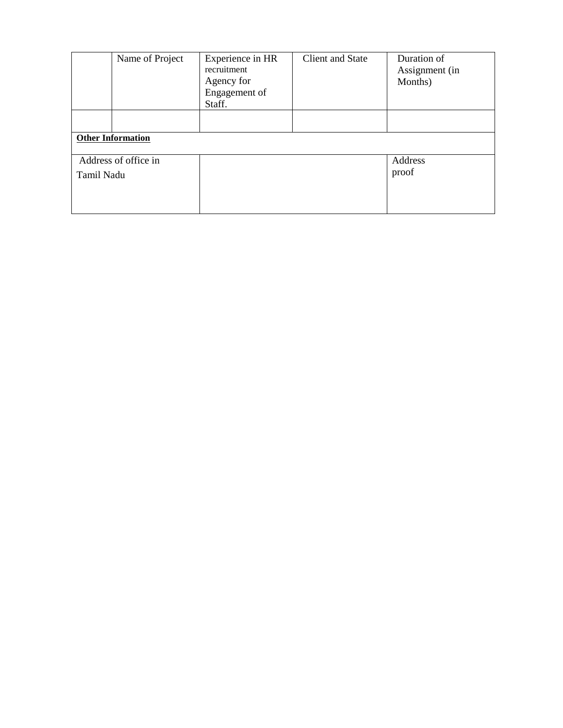|                      | Name of Project          | Experience in HR<br>recruitment<br>Agency for<br>Engagement of<br>Staff. | <b>Client and State</b> | Duration of<br>Assignment (in<br>Months) |  |  |
|----------------------|--------------------------|--------------------------------------------------------------------------|-------------------------|------------------------------------------|--|--|
|                      |                          |                                                                          |                         |                                          |  |  |
|                      | <b>Other Information</b> |                                                                          |                         |                                          |  |  |
| Address of office in |                          |                                                                          |                         | Address                                  |  |  |
| Tamil Nadu           |                          |                                                                          |                         | proof                                    |  |  |
|                      |                          |                                                                          |                         |                                          |  |  |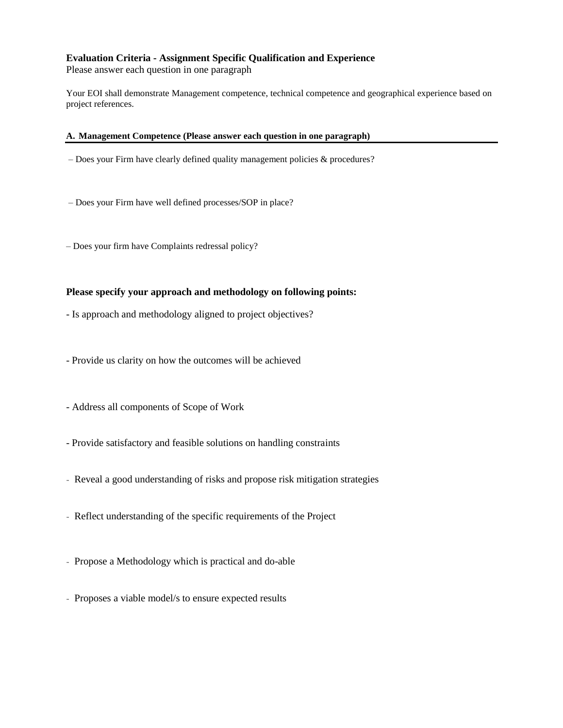# **Evaluation Criteria - Assignment Specific Qualification and Experience**

Please answer each question in one paragraph

Your EOI shall demonstrate Management competence, technical competence and geographical experience based on project references.

#### **A. Management Competence (Please answer each question in one paragraph)**

- Does your Firm have clearly defined quality management policies & procedures?
- Does your Firm have well defined processes/SOP in place?
- Does your firm have Complaints redressal policy?

#### **Please specify your approach and methodology on following points:**

- Is approach and methodology aligned to project objectives?
- Provide us clarity on how the outcomes will be achieved
- Address all components of Scope of Work
- Provide satisfactory and feasible solutions on handling constraints
- Reveal a good understanding of risks and propose risk mitigation strategies
- Reflect understanding of the specific requirements of the Project
- Propose a Methodology which is practical and do-able
- Proposes a viable model/s to ensure expected results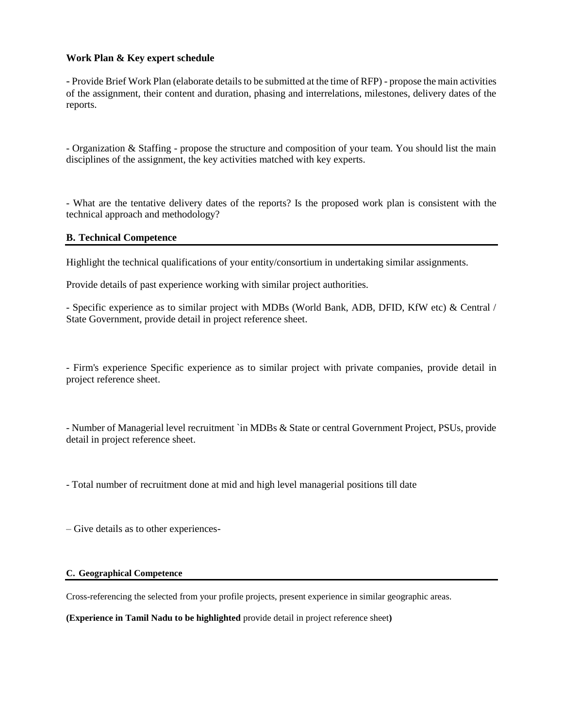#### **Work Plan & Key expert schedule**

- Provide Brief Work Plan (elaborate details to be submitted at the time of RFP) - propose the main activities of the assignment, their content and duration, phasing and interrelations, milestones, delivery dates of the reports.

- Organization & Staffing - propose the structure and composition of your team. You should list the main disciplines of the assignment, the key activities matched with key experts.

- What are the tentative delivery dates of the reports? Is the proposed work plan is consistent with the technical approach and methodology?

# **B. Technical Competence**

Highlight the technical qualifications of your entity/consortium in undertaking similar assignments.

Provide details of past experience working with similar project authorities.

- Specific experience as to similar project with MDBs (World Bank, ADB, DFID, KfW etc) & Central / State Government, provide detail in project reference sheet.

- Firm's experience Specific experience as to similar project with private companies, provide detail in project reference sheet.

- Number of Managerial level recruitment `in MDBs & State or central Government Project, PSUs, provide detail in project reference sheet.

- Total number of recruitment done at mid and high level managerial positions till date

– Give details as to other experiences-

#### **C. Geographical Competence**

Cross-referencing the selected from your profile projects, present experience in similar geographic areas.

**(Experience in Tamil Nadu to be highlighted** provide detail in project reference sheet**)**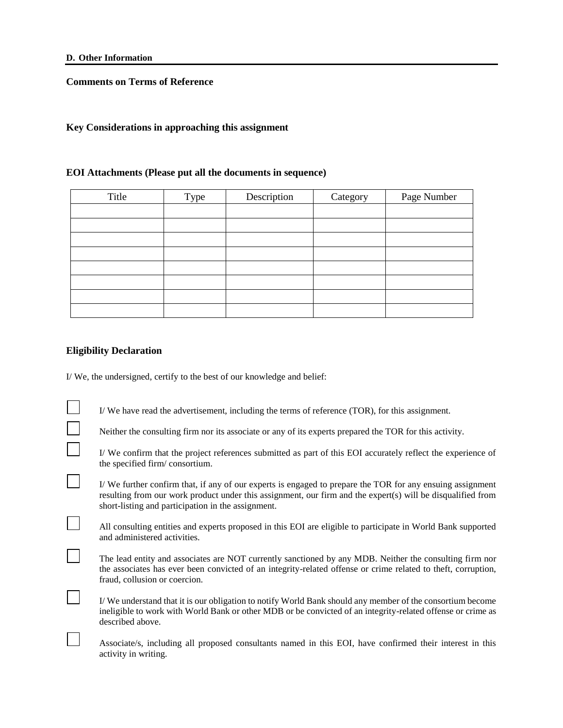**Comments on Terms of Reference**

#### **Key Considerations in approaching this assignment**

#### **EOI Attachments (Please put all the documents in sequence)**

| Title | Type | Description | Category | Page Number |
|-------|------|-------------|----------|-------------|
|       |      |             |          |             |
|       |      |             |          |             |
|       |      |             |          |             |
|       |      |             |          |             |
|       |      |             |          |             |
|       |      |             |          |             |
|       |      |             |          |             |
|       |      |             |          |             |

#### **Eligibility Declaration**

 $\Box$ 

 $\mathbb{R}^n$ 

 $\vert \ \ \vert$ 

 $\Box$ 

 $\mathbb{R}^n$ 

I/ We, the undersigned, certify to the best of our knowledge and belief:

| I/We have read the advertisement, including the terms of reference (TOR), for this assignment. |  |  |
|------------------------------------------------------------------------------------------------|--|--|
|------------------------------------------------------------------------------------------------|--|--|

|  | Neither the consulting firm nor its associate or any of its experts prepared the TOR for this activity. |
|--|---------------------------------------------------------------------------------------------------------|
|  |                                                                                                         |
|  |                                                                                                         |

- I/ We confirm that the project references submitted as part of this EOI accurately reflect the experience of the specified firm/ consortium.
- I/ We further confirm that, if any of our experts is engaged to prepare the TOR for any ensuing assignment resulting from our work product under this assignment, our firm and the expert(s) will be disqualified from short-listing and participation in the assignment.

| All consulting entities and experts proposed in this EOI are eligible to participate in World Bank supported |  |
|--------------------------------------------------------------------------------------------------------------|--|
| and administered activities.                                                                                 |  |

- The lead entity and associates are NOT currently sanctioned by any MDB. Neither the consulting firm nor the associates has ever been convicted of an integrity-related offense or crime related to theft, corruption, fraud, collusion or coercion.
- I/ We understand that it is our obligation to notify World Bank should any member of the consortium become ineligible to work with World Bank or other MDB or be convicted of an integrity-related offense or crime as described above.
- Associate/s, including all proposed consultants named in this EOI, have confirmed their interest in this activity in writing.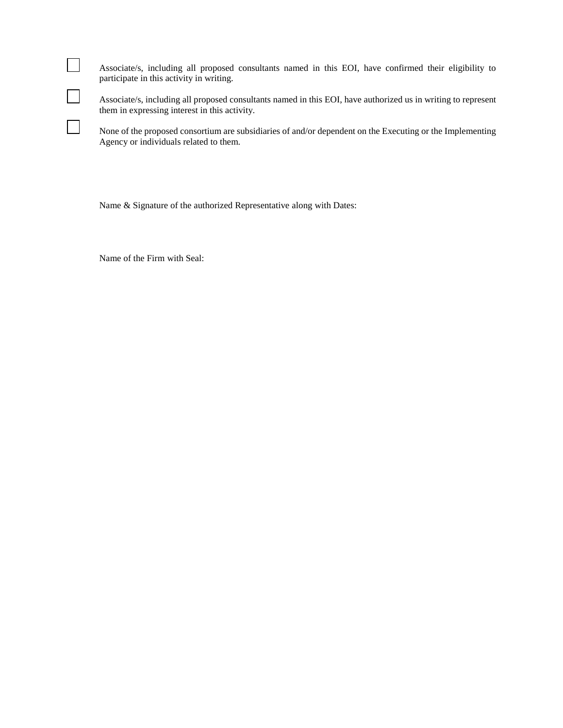| Associate/s, including all proposed consultants named in this EOI, have confirmed their eligibility to |  |  |
|--------------------------------------------------------------------------------------------------------|--|--|
| participate in this activity in writing.                                                               |  |  |

Associate/s, including all proposed consultants named in this EOI, have authorized us in writing to represent them in expressing interest in this activity.

None of the proposed consortium are subsidiaries of and/or dependent on the Executing or the Implementing Agency or individuals related to them.

Name & Signature of the authorized Representative along with Dates:

Name of the Firm with Seal:

 $\Box$ 

 $\Box$ 

 $\Box$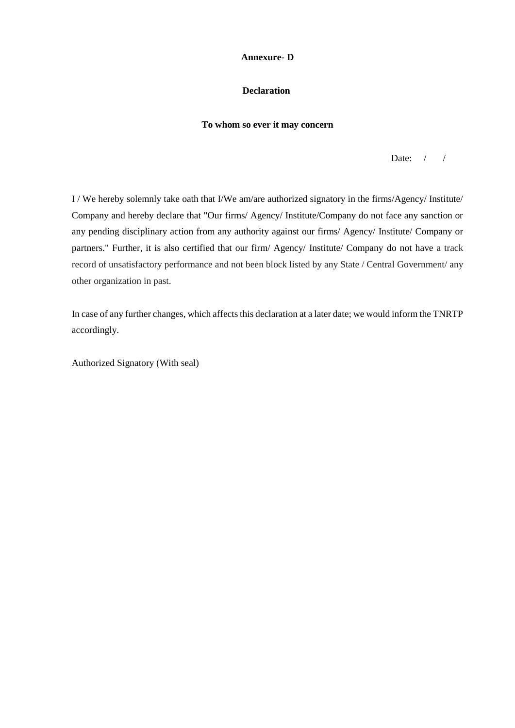#### **Annexure- D**

# **Declaration**

#### **To whom so ever it may concern**

Date:  $/ /$ 

I / We hereby solemnly take oath that I/We am/are authorized signatory in the firms/Agency/ Institute/ Company and hereby declare that "Our firms/ Agency/ Institute/Company do not face any sanction or any pending disciplinary action from any authority against our firms/ Agency/ Institute/ Company or partners." Further, it is also certified that our firm/ Agency/ Institute/ Company do not have a track record of unsatisfactory performance and not been block listed by any State / Central Government/ any other organization in past.

In case of any further changes, which affects this declaration at a later date; we would inform the TNRTP accordingly.

Authorized Signatory (With seal)